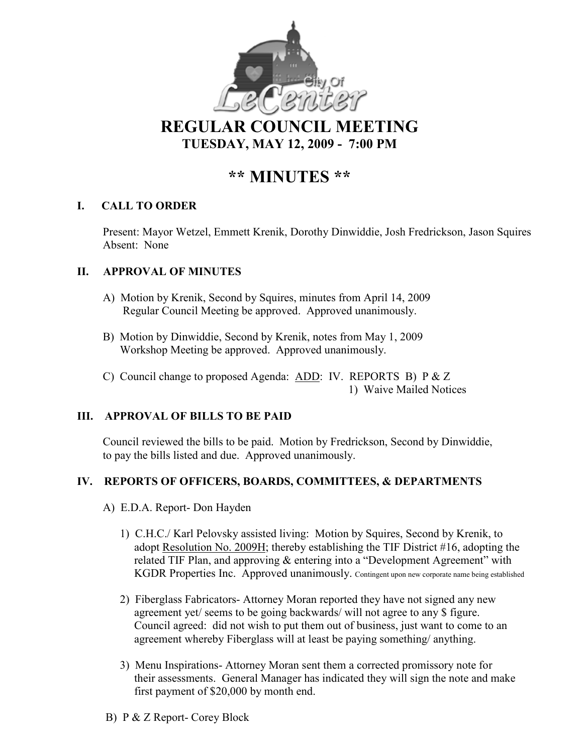

**REGULAR COUNCIL MEETING TUESDAY, MAY 12, 2009 - 7:00 PM** 

# **\*\* MI UTES \*\***

# **I. CALL TO ORDER**

Present: Mayor Wetzel, Emmett Krenik, Dorothy Dinwiddie, Josh Fredrickson, Jason Squires Absent: None

# **II. APPROVAL OF MINUTES**

- A) Motion by Krenik, Second by Squires, minutes from April 14, 2009 Regular Council Meeting be approved. Approved unanimously.
- B) Motion by Dinwiddie, Second by Krenik, notes from May 1, 2009 Workshop Meeting be approved. Approved unanimously.
- C) Council change to proposed Agenda: ADD: IV. REPORTS B) P & Z 1) Waive Mailed Notices

# **III. APPROVAL OF BILLS TO BE PAID**

Council reviewed the bills to be paid. Motion by Fredrickson, Second by Dinwiddie, to pay the bills listed and due. Approved unanimously.

# **IV. REPORTS OF OFFICERS, BOARDS, COMMITTEES, & DEPARTMENTS**

- A) E.D.A. Report- Don Hayden
	- 1) C.H.C./ Karl Pelovsky assisted living: Motion by Squires, Second by Krenik, to adopt Resolution No. 2009H; thereby establishing the TIF District #16, adopting the related TIF Plan, and approving & entering into a "Development Agreement" with KGDR Properties Inc. Approved unanimously. Contingent upon new corporate name being established
	- 2) Fiberglass Fabricators- Attorney Moran reported they have not signed any new agreement yet/ seems to be going backwards/ will not agree to any \$ figure. Council agreed: did not wish to put them out of business, just want to come to an agreement whereby Fiberglass will at least be paying something/ anything.
	- 3) Menu Inspirations- Attorney Moran sent them a corrected promissory note for their assessments. General Manager has indicated they will sign the note and make first payment of \$20,000 by month end.
- B) P & Z Report- Corey Block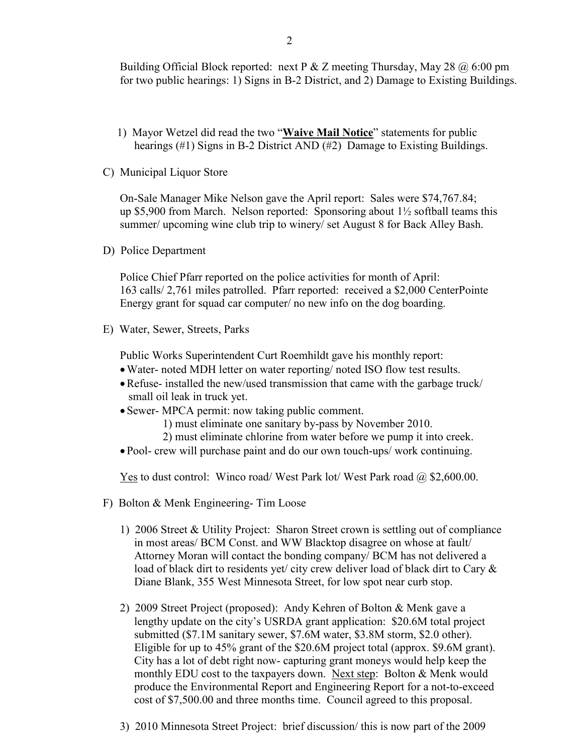Building Official Block reported: next P & Z meeting Thursday, May 28  $\omega$  6:00 pm for two public hearings: 1) Signs in B-2 District, and 2) Damage to Existing Buildings.

- 1) Mayor Wetzel did read the two "**Waive Mail otice**" statements for public hearings (#1) Signs in B-2 District AND (#2) Damage to Existing Buildings.
- C) Municipal Liquor Store

On-Sale Manager Mike Nelson gave the April report: Sales were \$74,767.84; up \$5,900 from March. Nelson reported: Sponsoring about  $1\frac{1}{2}$  softball teams this summer/ upcoming wine club trip to winery/ set August 8 for Back Alley Bash.

D) Police Department

Police Chief Pfarr reported on the police activities for month of April: 163 calls/ 2,761 miles patrolled. Pfarr reported: received a \$2,000 CenterPointe Energy grant for squad car computer/ no new info on the dog boarding.

E) Water, Sewer, Streets, Parks

Public Works Superintendent Curt Roemhildt gave his monthly report:

- •Water- noted MDH letter on water reporting/ noted ISO flow test results.
- •Refuse- installed the new/used transmission that came with the garbage truck/ small oil leak in truck yet.
- Sewer- MPCA permit: now taking public comment.
	- 1) must eliminate one sanitary by-pass by November 2010.
	- 2) must eliminate chlorine from water before we pump it into creek.
- Pool- crew will purchase paint and do our own touch-ups/ work continuing.

<u>Yes</u> to dust control: Winco road/ West Park lot/ West Park road  $\omega$  \$2,600.00.

- F) Bolton & Menk Engineering- Tim Loose
	- 1) 2006 Street & Utility Project: Sharon Street crown is settling out of compliance in most areas/ BCM Const. and WW Blacktop disagree on whose at fault/ Attorney Moran will contact the bonding company/ BCM has not delivered a load of black dirt to residents yet/ city crew deliver load of black dirt to Cary  $\&$ Diane Blank, 355 West Minnesota Street, for low spot near curb stop.
	- 2) 2009 Street Project (proposed): Andy Kehren of Bolton & Menk gave a lengthy update on the city's USRDA grant application: \$20.6M total project submitted (\$7.1M sanitary sewer, \$7.6M water, \$3.8M storm, \$2.0 other). Eligible for up to 45% grant of the \$20.6M project total (approx. \$9.6M grant). City has a lot of debt right now- capturing grant moneys would help keep the monthly EDU cost to the taxpayers down. Next step: Bolton & Menk would produce the Environmental Report and Engineering Report for a not-to-exceed cost of \$7,500.00 and three months time. Council agreed to this proposal.
	- 3) 2010 Minnesota Street Project: brief discussion/ this is now part of the 2009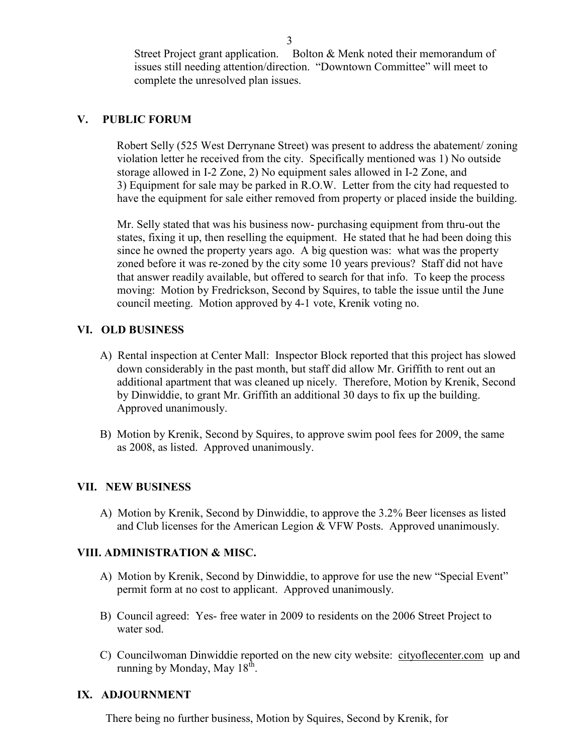Street Project grant application. Bolton & Menk noted their memorandum of issues still needing attention/direction. "Downtown Committee" will meet to complete the unresolved plan issues.

# **V. PUBLIC FORUM**

 Robert Selly (525 West Derrynane Street) was present to address the abatement/ zoning violation letter he received from the city. Specifically mentioned was 1) No outside storage allowed in I-2 Zone, 2) No equipment sales allowed in I-2 Zone, and 3) Equipment for sale may be parked in R.O.W. Letter from the city had requested to have the equipment for sale either removed from property or placed inside the building.

 Mr. Selly stated that was his business now- purchasing equipment from thru-out the states, fixing it up, then reselling the equipment. He stated that he had been doing this since he owned the property years ago. A big question was: what was the property zoned before it was re-zoned by the city some 10 years previous? Staff did not have that answer readily available, but offered to search for that info. To keep the process moving: Motion by Fredrickson, Second by Squires, to table the issue until the June council meeting. Motion approved by 4-1 vote, Krenik voting no.

#### **VI. OLD BUSI ESS**

- A) Rental inspection at Center Mall: Inspector Block reported that this project has slowed down considerably in the past month, but staff did allow Mr. Griffith to rent out an additional apartment that was cleaned up nicely. Therefore, Motion by Krenik, Second by Dinwiddie, to grant Mr. Griffith an additional 30 days to fix up the building. Approved unanimously.
- B) Motion by Krenik, Second by Squires, to approve swim pool fees for 2009, the same as 2008, as listed. Approved unanimously.

# **VII. EW BUSI ESS**

 A) Motion by Krenik, Second by Dinwiddie, to approve the 3.2% Beer licenses as listed and Club licenses for the American Legion & VFW Posts. Approved unanimously.

#### **VIII. ADMI ISTRATIO & MISC.**

- A) Motion by Krenik, Second by Dinwiddie, to approve for use the new "Special Event" permit form at no cost to applicant. Approved unanimously.
- B) Council agreed: Yes- free water in 2009 to residents on the 2006 Street Project to water sod.
- C) Councilwoman Dinwiddie reported on the new city website: cityoflecenter.com up and running by Monday, May  $18<sup>th</sup>$ .

#### **IX. ADJOURNMENT**

There being no further business, Motion by Squires, Second by Krenik, for